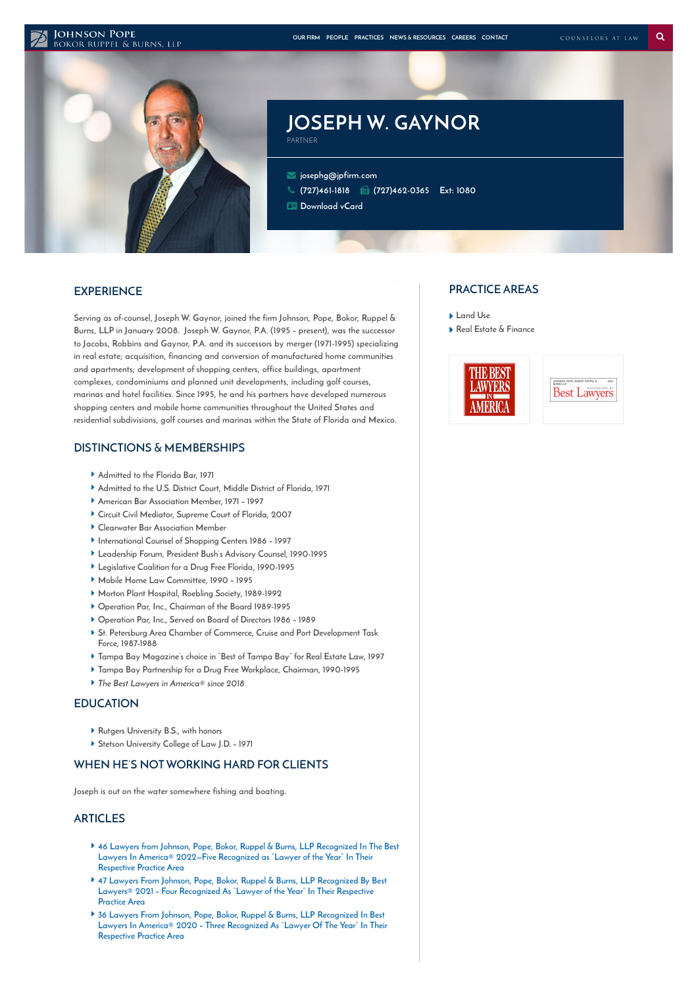#### **JOHNSON POPE**



# **JOSEPH W. GAYNOR**

 **[josephg@jpfirm.com](mailto:josephg@jpfirm.com) [\(727\)461-1818](tel:+1-727-461-1818) (727)462-0365 Ext: 1080**

**[Download](https://www.jpfirm.com/wp-content/themes/paperstreet/vcard/vcard.php?name=joseph-w-gaynor) vCard**

PARTNER

## **EXPERIENCE**

**Serving as of-counsel, Joseph W. Gaynor, joined the firm Johnson, Pope, Bokor, Ruppel & Burns, LLP in January 2008. Joseph W. Gaynor, P.A. (1995 – present), was the successor to Jacobs, Robbins and Gaynor, P.A. and its successors by merger (1971-1995) specializing in real estate; acquisition, financing and conversion of manufactured home communities and apartments; development of shopping centers, office buildings, apartment complexes, condominiums and planned unit developments, including golf courses, marinas and hotel facilities. Since 1995, he and his partners have developed numerous shopping centers and mobile home communities throughout the United States and residential subdivisions, golf courses and marinas within the State of Florida and Mexico.**

## **DISTINCTIONS & MEMBERSHIPS**

- **Admitted to the Florida Bar, 1971**
- **Admitted to the U.S. District Court, Middle District of Florida, 1971**
- **American Bar Association Member, 1971 – 1997**
- **Circuit Civil Mediator, Supreme Court of Florida, 2007**
- **Clearwater Bar Association Member**
- **International Counsel of Shopping Centers 1986 – 1997**
- **Leadership Forum, President Bush's Advisory Counsel, 1990-1995**
- **Legislative Coalition for a Drug Free Florida, 1990-1995**
- **Mobile Home Law Committee, 1990 – 1995**
- **Morton Plant Hospital, Roebling Society, 1989-1992**
- **Operation Par, Inc., Chairman of the Board 1989-1995**
- **Operation Par, Inc., Served on Board of Directors 1986 – 1989**
- **St. Petersburg Area Chamber of Commerce, Cruise and Port Development Task Force, 1987-1988**
- **Tampa Bay Magazine's choice in "Best of Tampa Bay" for Real Estate Law, 1997**
- **Tampa Bay Partnership for a Drug Free Workplace, Chairman, 1990-1995**
- **The Best Lawyers in America® since 2018**

#### **EDUCATION**

- **Rutgers University B.S., with honors**
- **Stetson University College of Law J.D. – 1971**

## **WHEN HE'S NOTWORKING HARD FOR CLIENTS**

**Joseph is out on the water somewhere fishing and boating.**

#### **ARTICLES**

- **46 Lawyers from Johnson, Pope, Bokor, Ruppel & Burns, LLP [Recognized](https://www.jpfirm.com/news-resources/46-lawyers-from-johnson-pope-bokor-ruppel-burns-llp-recognized-in-the-best-lawyers-in-america-2022-five-recognized-as-lawyer-of-the-year-in-their-respective-pract/) In The Best Lawyers In America® 2022—Five Recognized as "Lawyer of the Year" In Their Respective Practice Area**
- **47 Lawyers From Johnson, Pope, Bokor, Ruppel & Burns, LLP [Recognized](https://www.jpfirm.com/news-resources/47-lawyers-johnson-pope-bokor-ruppel-burns-llp-recognized-best-lawyers-2021-four-recognized-lawyer-year-respective-practice-area/) By Best Lawyers® 2021 – Four Recognized As "Lawyer of the Year" In Their Respective Practice Area**
- **36 Lawyers From Johnson, Pope, Bokor, Ruppel & Burns, LLP Recognized In Best Lawyers In America® 2020 – Three [Recognized](https://www.jpfirm.com/news-resources/36-lawyers-johnson-pope-bokor-ruppel-burns-llp-recognized-best-lawyers-america-2020-three-recognized-lawyer-year-respective-practice-area/) As "Lawyer Of The Year" In Their Respective Practice Area**

### **PRACTICE AREAS**

- **[Land](https://www.jpfirm.com/practices/land-use/) Use**
- **Real Estate & [Finance](https://www.jpfirm.com/practices/real-estate-finance/)**



**Best Lawvers**